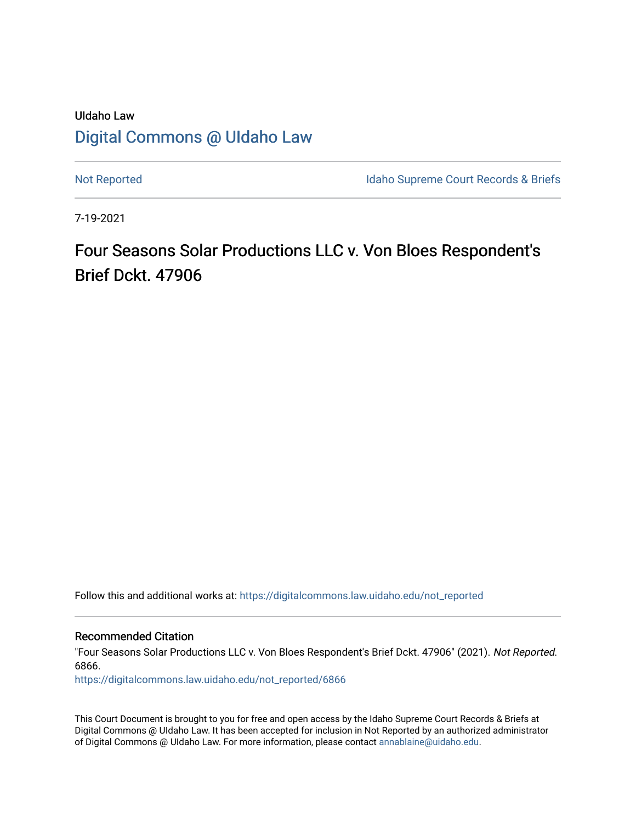# UIdaho Law [Digital Commons @ UIdaho Law](https://digitalcommons.law.uidaho.edu/)

[Not Reported](https://digitalcommons.law.uidaho.edu/not_reported) **Idaho Supreme Court Records & Briefs** 

7-19-2021

Four Seasons Solar Productions LLC v. Von Bloes Respondent's Brief Dckt. 47906

Follow this and additional works at: [https://digitalcommons.law.uidaho.edu/not\\_reported](https://digitalcommons.law.uidaho.edu/not_reported?utm_source=digitalcommons.law.uidaho.edu%2Fnot_reported%2F6866&utm_medium=PDF&utm_campaign=PDFCoverPages) 

Recommended Citation

"Four Seasons Solar Productions LLC v. Von Bloes Respondent's Brief Dckt. 47906" (2021). Not Reported. 6866.

[https://digitalcommons.law.uidaho.edu/not\\_reported/6866](https://digitalcommons.law.uidaho.edu/not_reported/6866?utm_source=digitalcommons.law.uidaho.edu%2Fnot_reported%2F6866&utm_medium=PDF&utm_campaign=PDFCoverPages)

This Court Document is brought to you for free and open access by the Idaho Supreme Court Records & Briefs at Digital Commons @ UIdaho Law. It has been accepted for inclusion in Not Reported by an authorized administrator of Digital Commons @ UIdaho Law. For more information, please contact [annablaine@uidaho.edu](mailto:annablaine@uidaho.edu).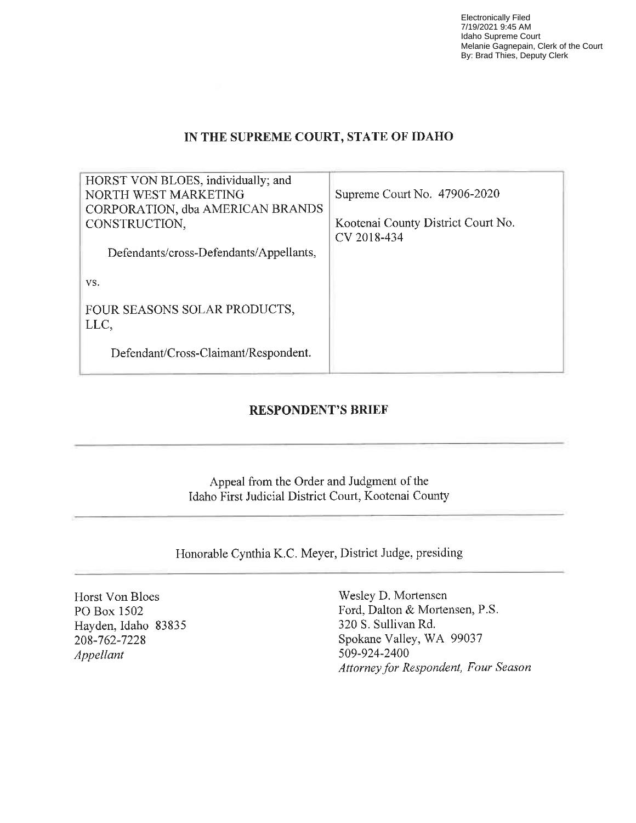Electronically Filed 7/19/2021 9:45 AM Idaho Supreme Court Melanie Gagnepain, Clerk of the Court By: Brad Thies, Deputy Clerk

### **IN THE SUPREME COURT, STATE OF IDAHO**

| HORST VON BLOES, individually; and<br>NORTH WEST MARKETING<br>CORPORATION, dba AMERICAN BRANDS<br>CONSTRUCTION, | Supreme Court No. 47906-2020<br>Kootenai County District Court No. |
|-----------------------------------------------------------------------------------------------------------------|--------------------------------------------------------------------|
|                                                                                                                 | CV 2018-434                                                        |
| Defendants/cross-Defendants/Appellants,                                                                         |                                                                    |
| VS.                                                                                                             |                                                                    |
| FOUR SEASONS SOLAR PRODUCTS,<br>LLC,                                                                            |                                                                    |
| Defendant/Cross-Claimant/Respondent.                                                                            |                                                                    |

### **RESPONDENT'S BRIEF**

Appeal from the Order and Judgment of the Idaho First Judicial District Court, Kootenai County

Honorable Cynthia K.C. Meyer, District Judge, presiding

Horst Von Bloes PO Box 1502 Hayden, Idaho 83835 208-762-7228 *Appellant* 

Wesley D. Mortensen Ford, Dalton & Mortensen, P.S. 320 S. Sullivan Rd. Spokane Valley, WA 99037 509-924-2400 *Attorney for Respondent, Four Season*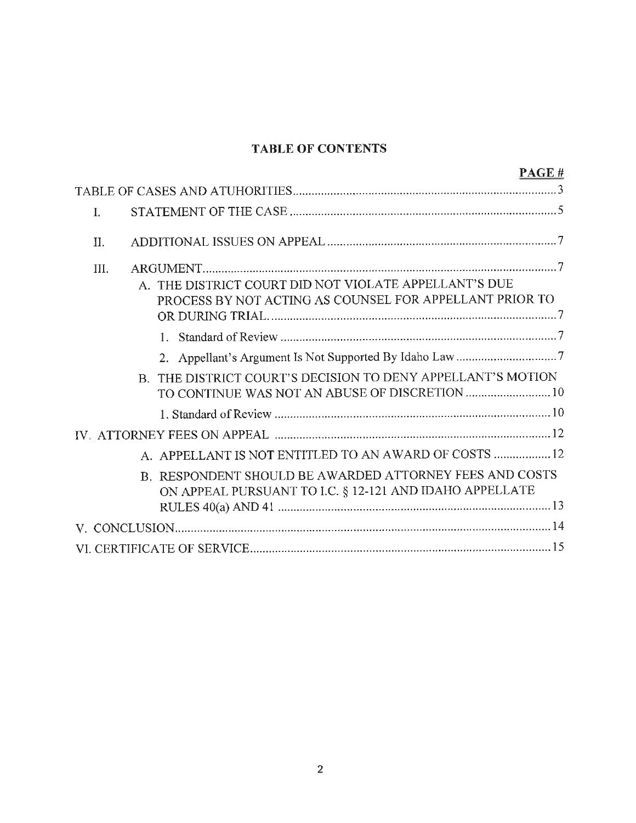## **TABLE OF CONTENTS**

|            | PAGE#                                                                                                              |
|------------|--------------------------------------------------------------------------------------------------------------------|
|            |                                                                                                                    |
| $\bf{I}$ . |                                                                                                                    |
| II.        |                                                                                                                    |
| III.       |                                                                                                                    |
|            | A. THE DISTRICT COURT DID NOT VIOLATE APPELLANT'S DUE<br>PROCESS BY NOT ACTING AS COUNSEL FOR APPELLANT PRIOR TO   |
|            |                                                                                                                    |
|            |                                                                                                                    |
|            | B. THE DISTRICT COURT'S DECISION TO DENY APPELLANT'S MOTION<br>TO CONTINUE WAS NOT AN ABUSE OF DISCRETION  10      |
|            |                                                                                                                    |
|            |                                                                                                                    |
|            | A. APPELLANT IS NOT ENTITLED TO AN AWARD OF COSTS  12                                                              |
|            | B. RESPONDENT SHOULD BE AWARDED ATTORNEY FEES AND COSTS<br>ON APPEAL PURSUANT TO I.C. § 12-121 AND IDAHO APPELLATE |
|            |                                                                                                                    |
|            |                                                                                                                    |
|            |                                                                                                                    |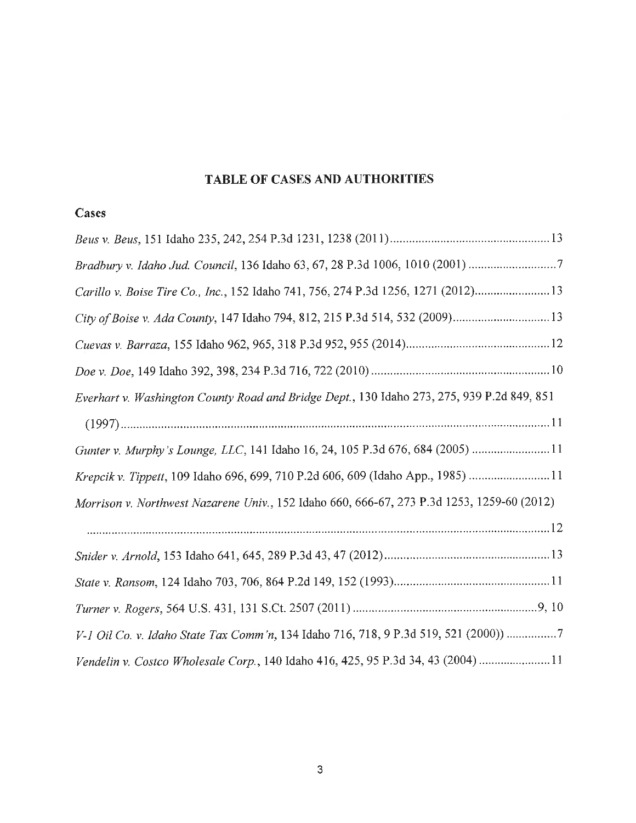## **TABLE OF CASES AND AUTHORITIES**

## **Cases**

| Bradbury v. Idaho Jud. Council, 136 Idaho 63, 67, 28 P.3d 1006, 1010 (2001)                |
|--------------------------------------------------------------------------------------------|
| Carillo v. Boise Tire Co., Inc., 152 Idaho 741, 756, 274 P.3d 1256, 1271 (2012)13          |
|                                                                                            |
|                                                                                            |
|                                                                                            |
| Everhart v. Washington County Road and Bridge Dept., 130 Idaho 273, 275, 939 P.2d 849, 851 |
|                                                                                            |
| Gunter v. Murphy's Lounge, LLC, 141 Idaho 16, 24, 105 P.3d 676, 684 (2005) 11              |
| Krepcik v. Tippett, 109 Idaho 696, 699, 710 P.2d 606, 609 (Idaho App., 1985) 11            |
| Morrison v. Northwest Nazarene Univ., 152 Idaho 660, 666-67, 273 P.3d 1253, 1259-60 (2012) |
|                                                                                            |
|                                                                                            |
|                                                                                            |
|                                                                                            |
| V-1 Oil Co. v. Idaho State Tax Comm'n, 134 Idaho 716, 718, 9 P.3d 519, 521 (2000)) 7       |
| Vendelin v. Costco Wholesale Corp., 140 Idaho 416, 425, 95 P.3d 34, 43 (2004) 11           |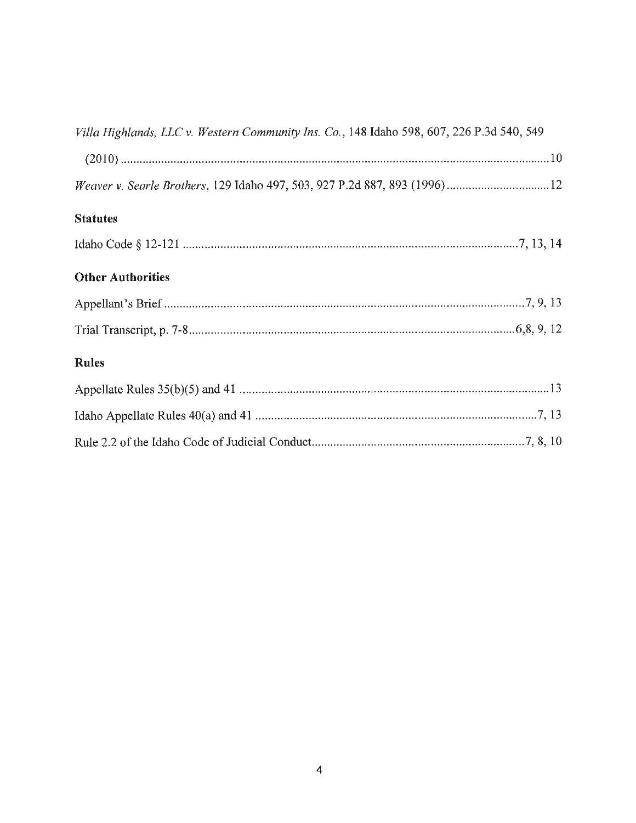| Villa Highlands, LLC v. Western Community Ins. Co., 148 Idaho 598, 607, 226 P.3d 540, 549 |
|-------------------------------------------------------------------------------------------|
|                                                                                           |
|                                                                                           |
| <b>Statutes</b>                                                                           |
|                                                                                           |
| <b>Other Authorities</b>                                                                  |
|                                                                                           |
|                                                                                           |
| <b>Rules</b>                                                                              |
|                                                                                           |
|                                                                                           |
|                                                                                           |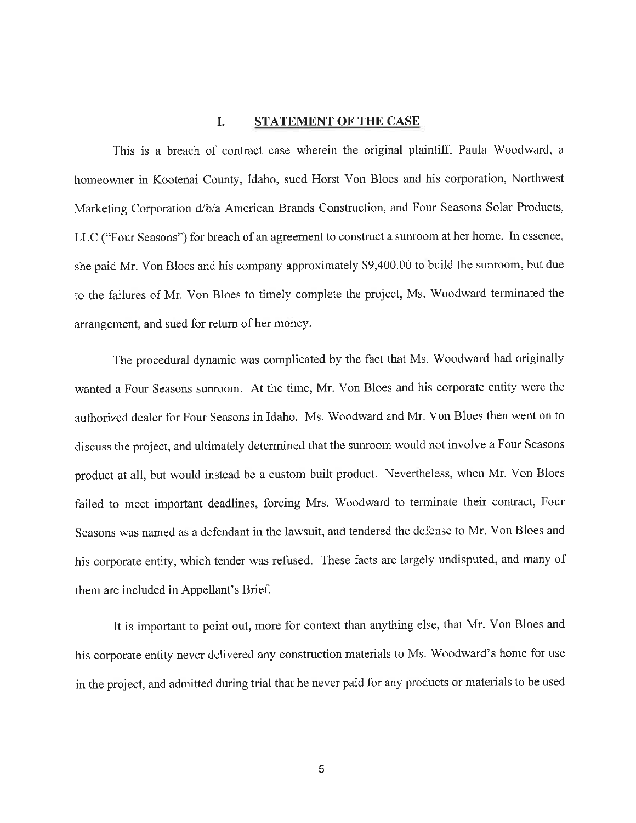#### **I. STATEMENT OF THE CASE**

This is a breach of contract case wherein the original plaintiff, Paula Woodward, a homeowner in Kootenai County, Idaho, sued Horst Von Bloes and his corporation, Northwest Marketing Corporation d/b/a American Brands Construction, and Four Seasons Solar Products, LLC ("Four Seasons") for breach of an agreement to construct a sunroom at her home. In essence, she paid Mr. Von Bloes and his company approximately \$9,400.00 to build the sunroom, but due to the failures of Mr. Von Bloes to timely complete the project, Ms. Woodward terminated the arrangement, and sued for return of her money.

The procedural dynamic was complicated by the fact that Ms. Woodward had originally wanted a Four Seasons sunroom. At the time, Mr. Von Bloes and his corporate entity were the authorized dealer for Four Seasons in Idaho. Ms. Woodward and Mr. Von Bloes then went on to discuss the project, and ultimately determined that the sunroom would not involve a Four Seasons product at all, but would instead be a custom built product. Nevertheless, when Mr. Von Bloes failed to meet important deadlines, forcing Mrs. Woodward to terminate their contract, Four Seasons was named as a defendant in the lawsuit, and tendered the defense to Mr. Von Bloes and his corporate entity, which tender was refused. These facts are largely undisputed, and many of them are included in Appellant's Brief.

It is important to point out, more for context than anything else, that Mr. Von Bloes and his corporate entity never delivered any construction materials to Ms. Woodward's home for use in the project, and admitted during trial that he never paid for any products or materials to be used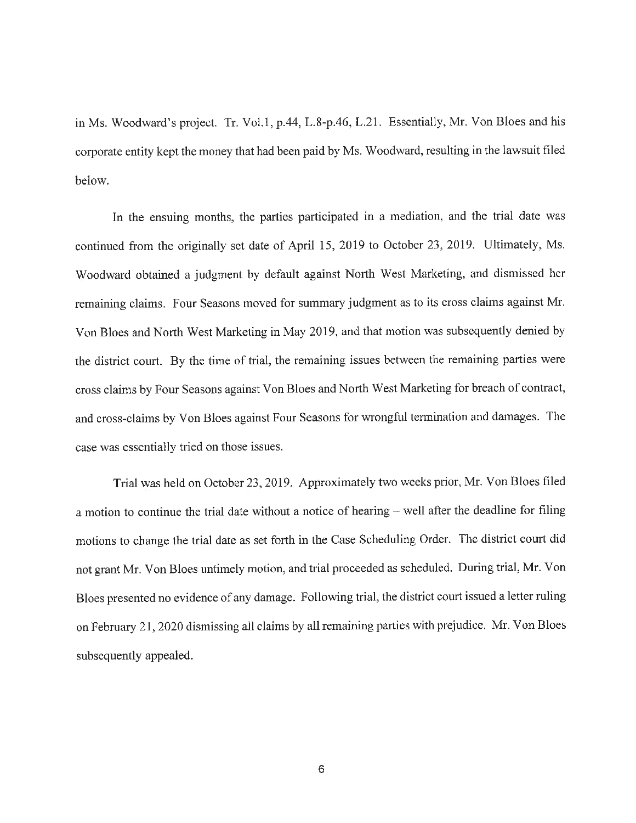in Ms. Woodward's project. Tr. Vol.1, p.44, L.8-p.46, L.21. Essentially, Mr. Von Bloes and his corporate entity kept the money that had been paid by Ms. Woodward, resulting in the lawsuit filed below.

In the ensuing months, the parties participated in a mediation, and the trial date was continued from the originally set date of April 15, 2019 to October 23, 2019. Ultimately, Ms. Woodward obtained a judgment by default against North West Marketing, and dismissed her remaining claims. Four Seasons moved for summary judgment as to its cross claims against Mr. Von Bloes and North West Marketing in May 2019, and that motion was subsequently denied by the district court. By the time of trial, the remaining issues between the remaining parties were cross claims by Four Seasons against Von Bloes and North West Marketing for breach of contract, and cross-claims by Von Bloes against Four Seasons for wrongful termination and damages. The case was essentially tried on those issues.

Trial was held on October 23, 2019. Approximately two weeks prior, Mr. Von Bloes filed a motion to continue the trial date without a notice of hearing  $-$  well after the deadline for filing motions to change the trial date as set forth in the Case Scheduling Order. The district court did not grant Mr. Von Bloes untimely motion, and trial proceeded as scheduled. During trial, Mr. Von Bloes presented no evidence of any damage. Following trial, the district court issued a letter ruling on February 21, 2020 dismissing all claims by all remaining parties with prejudice. Mr. Von Bloes subsequently appealed.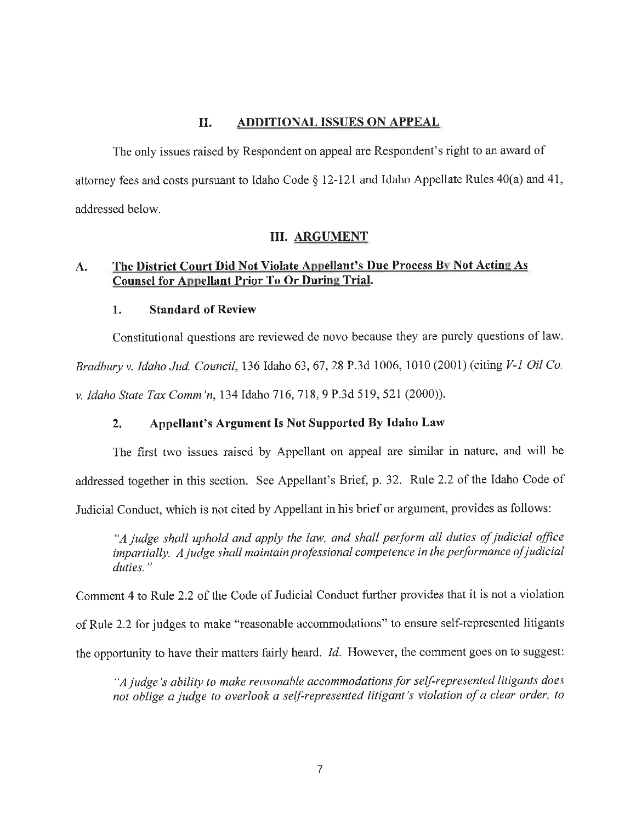#### II. **ADDITIONAL ISSUES ON APPEAL**

The only issues raised by Respondent on appeal are Respondent's right to an award of attorney fees and costs pursuant to Idaho Code§ 12-121 and Idaho Appellate Rules 40(a) and 41, addressed below.

#### III. **ARGUMENT**

### **A. The District Court Did Not Violate Appellant's Due Process Bv Not Acting As Counsel for Appellant Prior To Or During Trial.**

### **1. Standard of Review**

Constitutional questions are reviewed de novo because they are purely questions of law. *Bradbury v. Idaho Jud. Council,* 136 Idaho 63, 67, 28 P.3d 1006, 1010 (2001) (citing *V-1 Oil Co. v. Idaho State Tax Comm'n, 134 Idaho 716, 718, 9 P.3d 519, 521 (2000)).* 

### **2. Appellant's Argument Is Not Supported By Idaho Law**

The first two issues raised by Appellant on appeal are similar in nature, and will be addressed together in this section. See Appellant's Brief, p. 32. Rule 2.2 of the Idaho Code of Judicial Conduct, which is not cited by Appellant in his brief or argument, provides as follows:

*"A judge shall uphold and apply the law, and shall perform all duties of judicial office impartially. A judge shall maintain professional competence in the performance of judicial duties."* 

Comment 4 to Rule 2.2 of the Code of Judicial Conduct further provides that it is not a violation

of Rule 2.2 for judges to make "reasonable accommodations" to ensure self-represented litigants

the opportunity to have their matters fairly heard. *Id.* However, the comment goes on to suggest:

*"A judge's ability to make reasonable accommodations for self-represented litigants does not oblige a judge to overlook a self-represented litigant's violation of a clear order, to*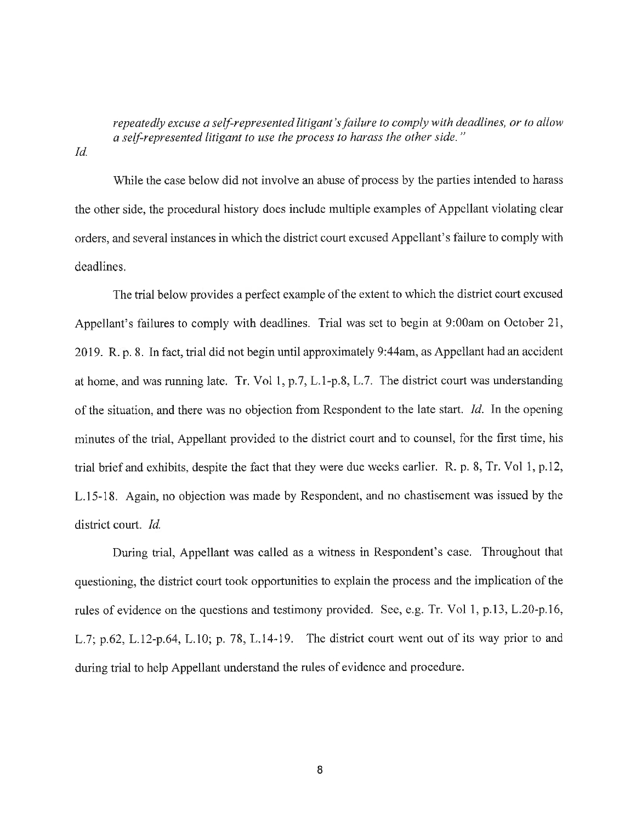*repeatedly excuse a self-represented litigant's failure to comply with deadlines, or to allow a self-represented litigant to use the process to harass the other side.* "

*Id.* 

While the case below did not involve an abuse of process by the parties intended to harass the other side, the procedural history does include multiple examples of Appellant violating clear orders, and several instances in which the district court excused Appellant's failure to comply with deadlines.

The trial below provides a perfect example of the extent to which the district court excused Appellant's failures to comply with deadlines. Trial was set to begin at 9:00am on October 21, 2019. R. p. 8. In fact, trial did not begin until approximately 9:44am, as Appellant had an accident at home, and was running late. Tr. Vol 1, p.7, L.1-p.8, L.7. The district court was understanding of the situation, and there was no objection from Respondent to the late start. *Id.* In the opening minutes of the trial, Appellant provided to the district court and to counsel, for the first time, his trial brief and exhibits, despite the fact that they were due weeks earlier. R. p. 8, Tr. Vol 1, p.12, L.15-18. Again, no objection was made by Respondent, and no chastisement was issued by the district court. *Id.* 

During trial, Appellant was called as a witness in Respondent's case. Throughout that questioning, the district court took opportunities to explain the process and the implication of the rules of evidence on the questions and testimony provided. See, e.g. Tr. Vol 1, p.13, L.20-p.16, L.7; p.62, L.12-p.64, L.10; p. 78, L.14-19. The district court went out of its way prior to and during trial to help Appellant understand the rules of evidence and procedure.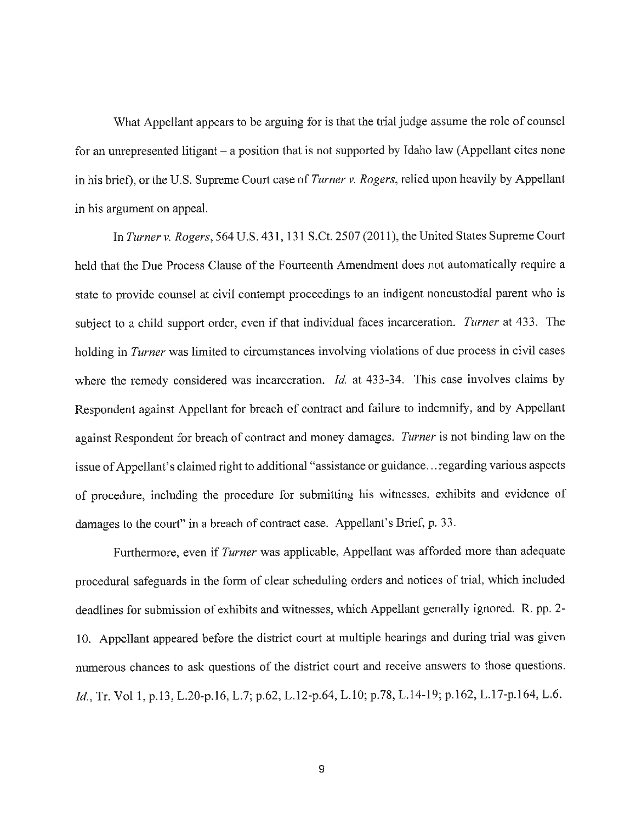What Appellant appears to be arguing for is that the trial judge assume the role of counsel for an unrepresented litigant – a position that is not supported by Idaho law (Appellant cites none in his brief), or the U.S. Supreme Court case of *Turner v. Rogers,* relied upon heavily by Appellant in his argument on appeal.

In *Turner v. Rogers,* 564 U.S. 431, 131 S.Ct. 2507 (2011 ), the United States Supreme Court held that the Due Process Clause of the Fourteenth Amendment does not automatically require a state to provide counsel at civil contempt proceedings to an indigent noncustodial parent who is subject to a child support order, even if that individual faces incarceration. *Turner* at 433. The holding in *Turner* was limited to circumstances involving violations of due process in civil cases where the remedy considered was incarceration. *Id.* at 433-34. This case involves claims by Respondent against Appellant for breach of contract and failure to indemnify, and by Appellant against Respondent for breach of contract and money damages. *Turner* is not binding law on the issue of Appellant's claimed right to additional "assistance or guidance ... regarding various aspects of procedure, including the procedure for submitting his witnesses, exhibits and evidence of damages to the court" in a breach of contract case. Appellant's Brief, p. 33.

Furthermore, even if *Turner* was applicable, Appellant was afforded more than adequate procedural safeguards in the form of clear scheduling orders and notices of trial, which included deadlines for submission of exhibits and witnesses, which Appellant generally ignored. R. pp. 2- 10. Appellant appeared before the district court at multiple hearings and during trial was given numerous chances to ask questions of the district court and receive answers to those questions. *Id.,* Tr. Vol 1, p.13, L.20-p.16, L.7; p.62, L.12-p.64, L.10; p.78, L.14-19; p.162, L.17-p.164, L.6.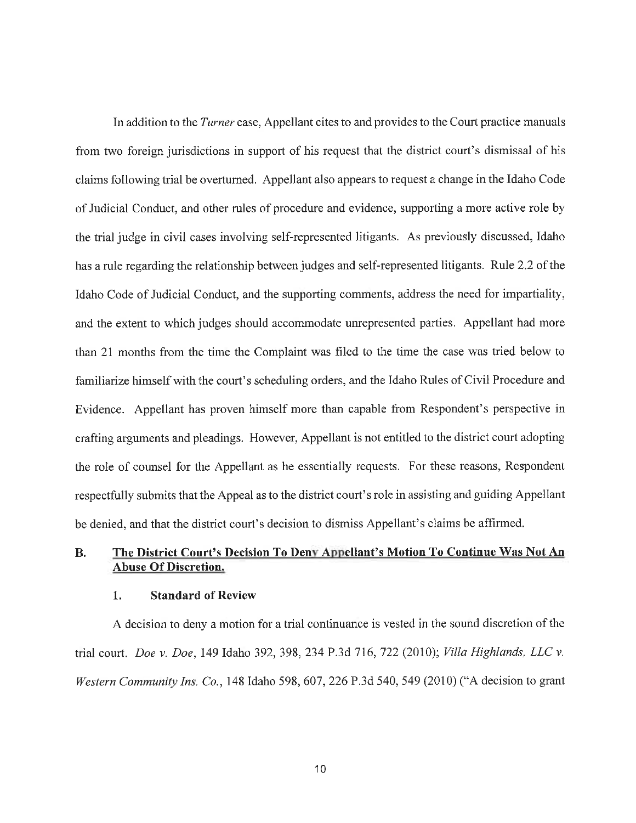In addition to the *Turner* case, Appellant cites to and provides to the Court practice manuals from two foreign jurisdictions in support of his request that the district court's dismissal of his claims following trial be overturned. Appellant also appears to request a change in the Idaho Code of Judicial Conduct, and other rules of procedure and evidence, supporting a more active role by the trial judge in civil cases involving self-represented litigants. As previously discussed, Idaho has a rule regarding the relationship between judges and self-represented litigants. Rule 2.2 of the Idaho Code of Judicial Conduct, and the supporting comments, address the need for impartiality, and the extent to which judges should accommodate unrepresented parties. Appellant had more than 21 months from the time the Complaint was filed to the time the case was tried below to familiarize himself with the court's scheduling orders, and the Idaho Rules of Civil Procedure and Evidence. Appellant has proven himself more than capable from Respondent's perspective in crafting arguments and pleadings. However, Appellant is not entitled to the district court adopting the role of counsel for the Appellant as he essentially requests. For these reasons, Respondent respectfully submits that the Appeal as to the district court's role in assisting and guiding Appellant be denied, and that the district court's decision to dismiss Appellant's claims be affirmed.

## **B. The District Court's Decision To Denv Appellant's Motion To Continue Was Not An Abuse Of Discretion.**

#### **1. Standard of Review**

A decision to deny a motion for a trial continuance is vested in the sound discretion of the trial court. *Doe v. Doe,* 149 Idaho 392, 398, 234 P.3d 716, 722 (2010); *Villa Highlands, LLC v. Western Community Ins. Co.,* 148 Idaho 598,607,226 P.3d 540,549 (2010) ("A decision to grant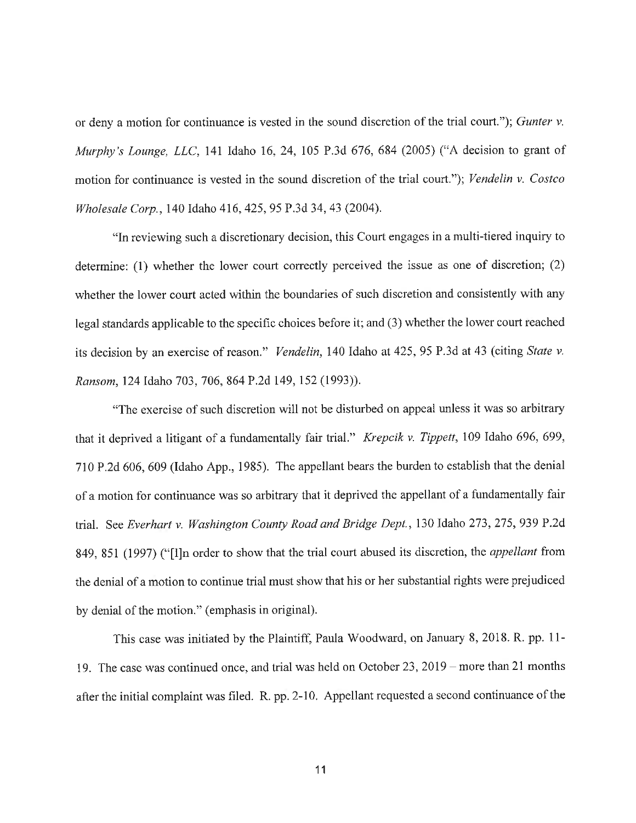or deny a motion for continuance is vested in the sound discretion of the trial court."); *Gunter v. Murphy's Lounge, LLC,* 141 Idaho 16, 24, 105 P.3d 676, 684 (2005) ("A decision to grant of motion for continuance is vested in the sound discretion of the trial court."); *Vendelin v. Costco Wholesale Corp.,* 140 Idaho 416,425, 95 P.3d 34, 43 (2004).

"In reviewing such a discretionary decision, this Court engages in a multi-tiered inquiry to determine: (1) whether the lower court correctly perceived the issue as one of discretion; (2) whether the lower court acted within the boundaries of such discretion and consistently with any legal standards applicable to the specific choices before it; and (3) whether the lower court reached its decision by an exercise of reason." *Vendelin,* 140 Idaho at 425, 95 P.3d at 43 (citing *State v. Ransom,* 124 Idaho 703, 706, 864 P.2d 149, 152 (1993)).

"The exercise of such discretion will not be disturbed on appeal unless it was so arbitrary that it deprived a litigant of a fundamentally fair trial." *Krepcik* v. *Tippett,* 109 Idaho 696, 699, 710 P.2d 606,609 (Idaho App., 1985). The appellant bears the burden to establish that the denial of a motion for continuance was so arbitrary that it deprived the appellant of a fundamentally fair trial. See *Everhart* v. *Washington County Road and Bridge Dept.,* 130 Idaho 273, 275, 939 P.2d 849, 851 (1997) ("[I]n order to show that the trial court abused its discretion, the *appellant* from the denial of a motion to continue trial must show that his or her substantial rights were prejudiced by denial of the motion." (emphasis in original).

This case was initiated by the Plaintiff, Paula Woodward, on January 8, 2018. R. pp. 11- 19. The case was continued once, and trial was held on October 23, 2019 - more than 21 months after the initial complaint was filed. R. pp. 2-10. Appellant requested a second continuance of the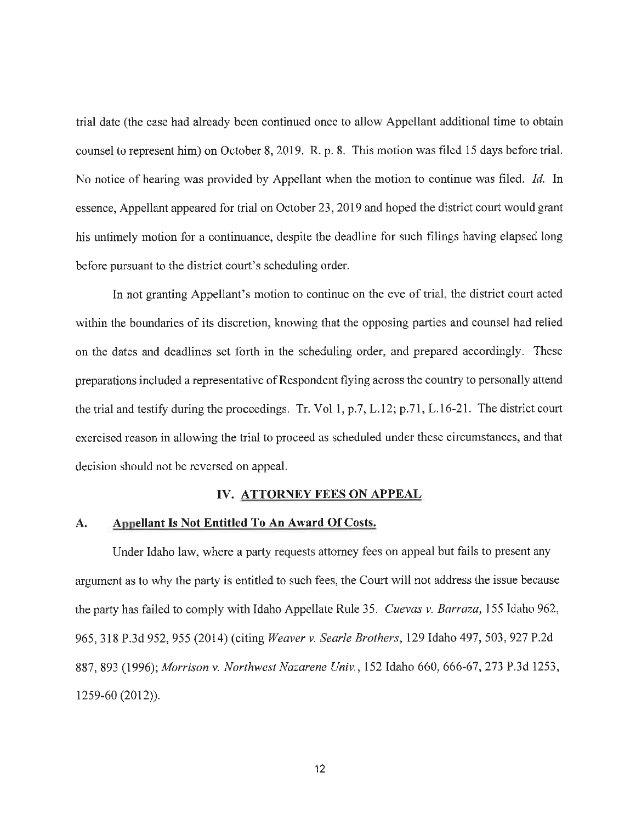trial date (the case had already been continued once to allow Appellant additional time to obtain counsel to represent him) on October 8, 2019. R. p. 8. This motion was filed 15 days before trial. No notice of hearing was provided by Appellant when the motion to continue was filed. *Id.* In essence, Appellant appeared for trial on October 23, 2019 and hoped the district court would grant his untimely motion for a continuance, despite the deadline for such filings having elapsed long before pursuant to the district court's scheduling order.

In not granting Appellant's motion to continue on the eve of trial, the district court acted within the boundaries of its discretion, knowing that the opposing parties and counsel had relied on the dates and deadlines set forth in the scheduling order, and prepared accordingly. These preparations included a representative of Respondent flying across the country to personally attend the trial and testify during the proceedings. Tr. Vol 1, p.7, L.12; p.71, L.16-21. The district court exercised reason in allowing the trial to proceed as scheduled under these circumstances, and that decision should not be reversed on appeal.

#### **IV. ATTORNEY FEES ON APPEAL**

#### **A. Appellant Is Not Entitled To An Award Of Costs.**

Under Idaho law, where a party requests attorney fees on appeal but fails to present any argument as to why the party is entitled to such fees, the Court will not address the issue because the party has failed to comply with Idaho Appellate Rule 35. *Cuevas v. Barraza,* 155 Idaho 962, 965,318 P.3d 952,955 (2014) (citing *Weaver v. Searle Brothers,* 129 Idaho 497,503,927 P.2d 887, 893 (1996); *Morrison v. Northwest Nazarene Univ.,* 152 Idaho 660, 666-67, 273 P.3d 1253, 1259-60 (2012)).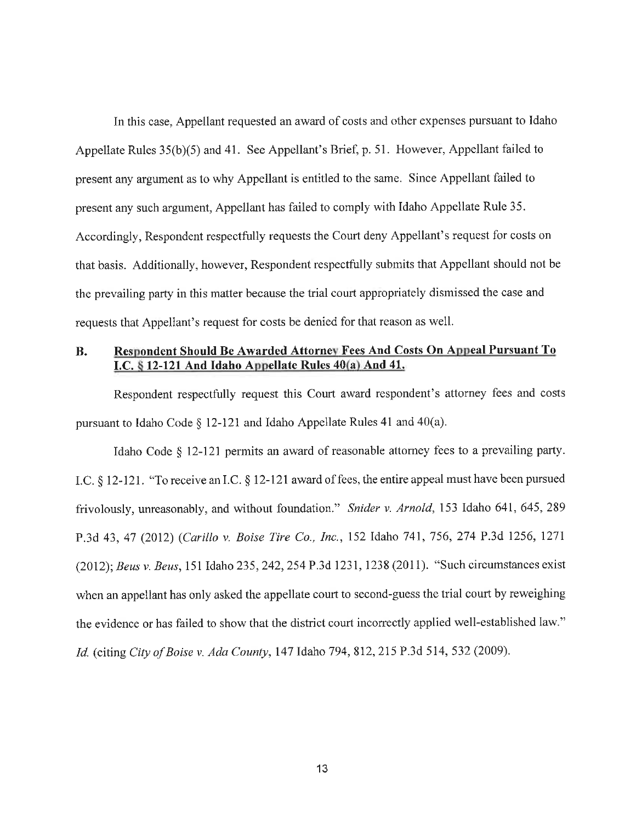In this case, Appellant requested an award of costs and other expenses pursuant to Idaho Appellate Rules 35(b)(5) and 41. See Appellant's Brief, p. 51. However, Appellant failed to present any argument as to why Appellant is entitled to the same. Since Appellant failed to present any such argument, Appellant has failed to comply with Idaho Appellate Rule 35. Accordingly, Respondent respectfully requests the Court deny Appellant's request for costs on that basis. Additionally, however, Respondent respectfully submits that Appellant should not be the prevailing party in this matter because the trial court appropriately dismissed the case and requests that Appellant's request for costs be denied for that reason as well.

### **B. Respondent Should Be Awarded Attorne" Fees And Costs On Appeal Pursuant To I.C.** § **12-121 And Idaho Appellate Rules 40(a) And 41.**

Respondent respectfully request this Court award respondent's attorney fees and costs pursuant to Idaho Code§ 12-121 and Idaho Appellate Rules 41 and 40(a).

Idaho Code § 12-121 permits an award of reasonable attorney fees to a prevailing party. LC.§ 12-121. "To receive an LC.§ 12-121 award of fees, the entire appeal must have been pursued frivolously, unreasonably, and without foundation." *Snider v. Arnold,* 153 Idaho 641, 645, 289 P.3d 43, 47 (2012) *(Carillo v. Boise Tire Co., Inc.,* 152 Idaho 741, 756, 274 P.3d 1256, 1271 (2012); *Beus v. Beus,* 151 Idaho 235,242,254 P.3d 1231, 1238 (2011). "Such circumstances exist when an appellant has only asked the appellate court to second-guess the trial court by reweighing the evidence or has failed to show that the district court incorrectly applied well-established law." *Id.* (citing *City of Boise v. Ada County,* 147 Idaho 794,812,215 P.3d 514,532 (2009).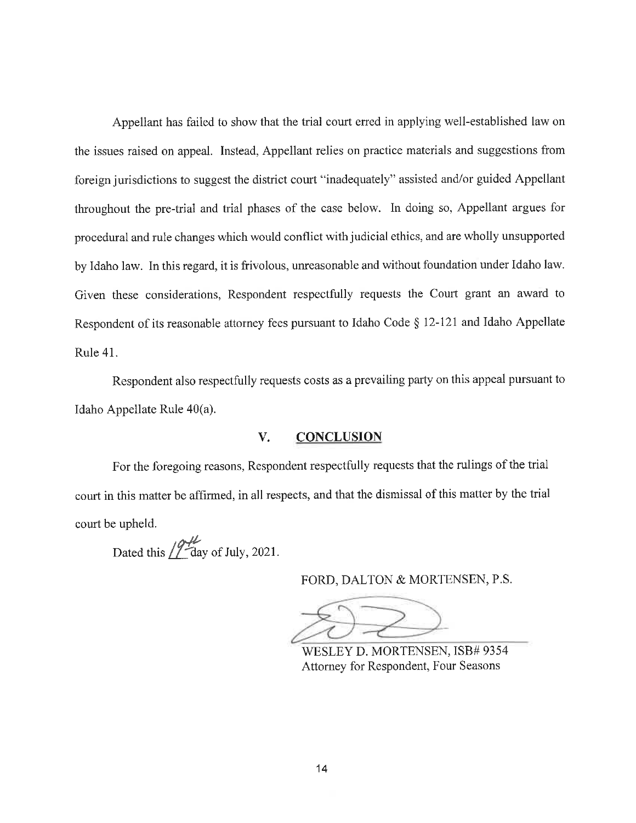Appellant has failed to show that the trial court erred in applying well-established law on the issues raised on appeal. Instead, Appellant relies on practice materials and suggestions from foreign jurisdictions to suggest the district court "inadequately" assisted and/or guided Appellant throughout the pre-trial and trial phases of the case below. In doing so, Appellant argues for procedural and rule changes which would conflict with judicial ethics, and are wholly unsupported by Idaho law. In this regard, it is frivolous, unreasonable and without foundation under Idaho law. Given these considerations, Respondent respectfully requests the Court grant an award to Respondent of its reasonable attorney fees pursuant to Idaho Code § 12-121 and Idaho Appellate Rule 41.

Respondent also respectfully requests costs as a prevailing party on this appeal pursuant to Idaho Appellate Rule 40(a).

#### **V. CONCLUSION**

For the foregoing reasons, Respondent respectfully requests that the rulings of the trial court in this matter be affirmed, in all respects, and that the dismissal of this matter by the trial court be upheld.

Dated this  $/2\frac{dL}{dx}$  of July, 2021.

FORD, DALTON & MORTENSEN, P.S.

~~ WESLEY D. MORTENSEN, ISB# 9354 Attorney for Respondent, Four Seasons